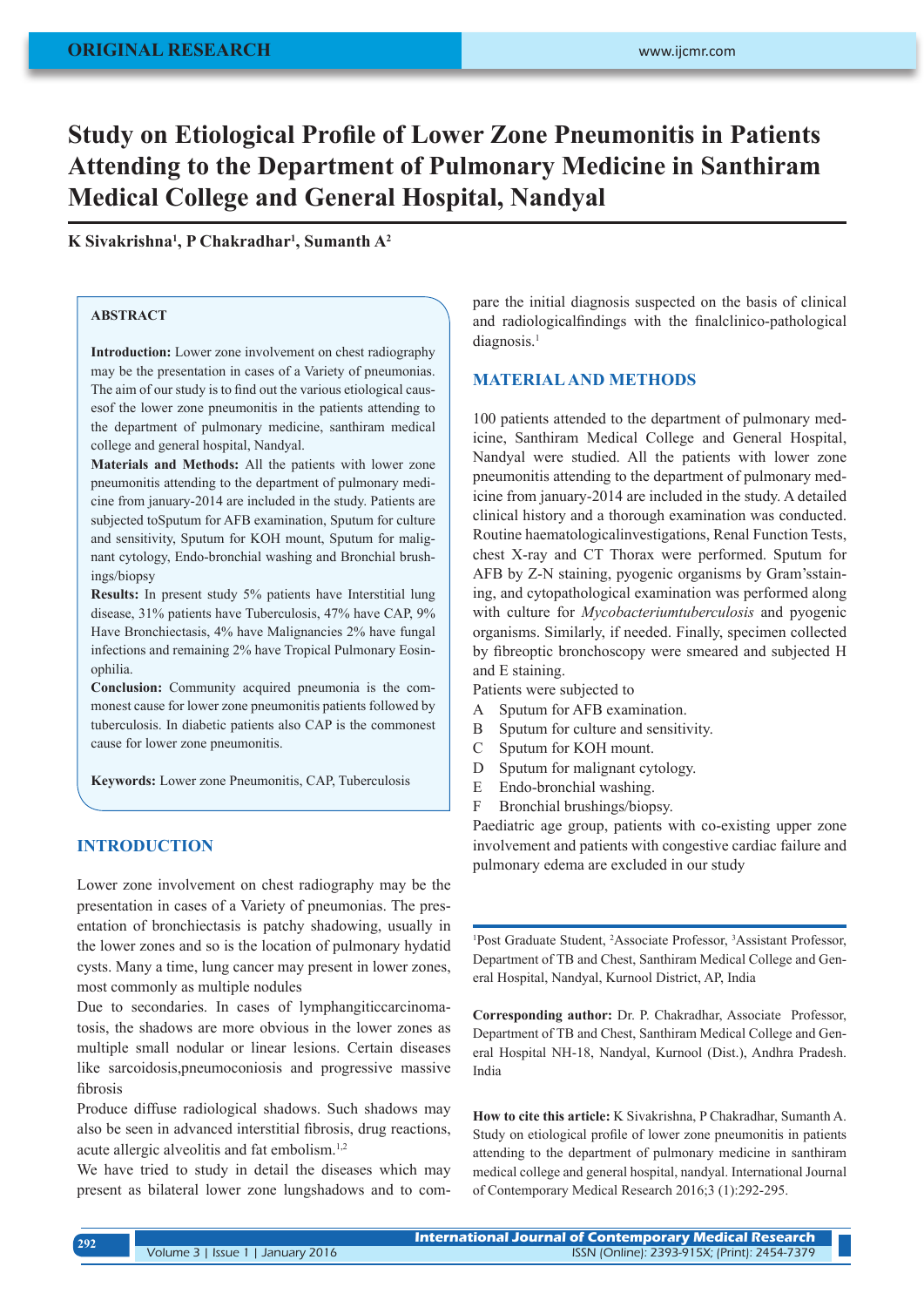# **Study on Etiological Profile of Lower Zone Pneumonitis in Patients Attending to the Department of Pulmonary Medicine in Santhiram Medical College and General Hospital, Nandyal**

## **K Sivakrishna<sup>1</sup> , P Chakradhar<sup>1</sup> , Sumanth A<sup>2</sup>**

## **ABSTRACT**

**Introduction:** Lower zone involvement on chest radiography may be the presentation in cases of a Variety of pneumonias. The aim of our study is to find out the various etiological causesof the lower zone pneumonitis in the patients attending to the department of pulmonary medicine, santhiram medical college and general hospital, Nandyal.

**Materials and Methods:** All the patients with lower zone pneumonitis attending to the department of pulmonary medicine from january-2014 are included in the study. Patients are subjected toSputum for AFB examination, Sputum for culture and sensitivity, Sputum for KOH mount, Sputum for malignant cytology, Endo-bronchial washing and Bronchial brushings/biopsy

**Results:** In present study 5% patients have Interstitial lung disease, 31% patients have Tuberculosis, 47% have CAP, 9% Have Bronchiectasis, 4% have Malignancies 2% have fungal infections and remaining 2% have Tropical Pulmonary Eosinophilia.

**Conclusion:** Community acquired pneumonia is the commonest cause for lower zone pneumonitis patients followed by tuberculosis. In diabetic patients also CAP is the commonest cause for lower zone pneumonitis.

**Keywords:** Lower zone Pneumonitis, CAP, Tuberculosis

# **INTRODUCTION**

Lower zone involvement on chest radiography may be the presentation in cases of a Variety of pneumonias. The presentation of bronchiectasis is patchy shadowing, usually in the lower zones and so is the location of pulmonary hydatid cysts. Many a time, lung cancer may present in lower zones, most commonly as multiple nodules

Due to secondaries. In cases of lymphangiticcarcinomatosis, the shadows are more obvious in the lower zones as multiple small nodular or linear lesions. Certain diseases like sarcoidosis,pneumoconiosis and progressive massive fibrosis

Produce diffuse radiological shadows. Such shadows may also be seen in advanced interstitial fibrosis, drug reactions, acute allergic alveolitis and fat embolism.1,2

We have tried to study in detail the diseases which may present as bilateral lower zone lungshadows and to compare the initial diagnosis suspected on the basis of clinical and radiologicalfindings with the finalclinico-pathological diagnosis.<sup>1</sup>

#### **MATERIAL AND METHODS**

100 patients attended to the department of pulmonary medicine, Santhiram Medical College and General Hospital, Nandyal were studied. All the patients with lower zone pneumonitis attending to the department of pulmonary medicine from january-2014 are included in the study. A detailed clinical history and a thorough examination was conducted. Routine haematologicalinvestigations, Renal Function Tests, chest X-ray and CT Thorax were performed. Sputum for AFB by Z-N staining, pyogenic organisms by Gram'sstaining, and cytopathological examination was performed along with culture for *Mycobacteriumtuberculosis* and pyogenic organisms. Similarly, if needed. Finally, specimen collected by fibreoptic bronchoscopy were smeared and subjected H and E staining.

Patients were subjected to

- A Sputum for AFB examination.
- B Sputum for culture and sensitivity.
- C Sputum for KOH mount.
- D Sputum for malignant cytology.
- E Endo-bronchial washing.
- F Bronchial brushings/biopsy.

Paediatric age group, patients with co-existing upper zone involvement and patients with congestive cardiac failure and pulmonary edema are excluded in our study

<sup>1</sup>Post Graduate Student, <sup>2</sup>Associate Professor, <sup>3</sup>Assistant Professor, Department of TB and Chest, Santhiram Medical College and General Hospital, Nandyal, Kurnool District, AP, India

**Corresponding author:** Dr. P. Chakradhar, Associate Professor, Department of TB and Chest, Santhiram Medical College and General Hospital NH-18, Nandyal, Kurnool (Dist.), Andhra Pradesh. India

**How to cite this article:** K Sivakrishna, P Chakradhar, Sumanth A. Study on etiological profile of lower zone pneumonitis in patients attending to the department of pulmonary medicine in santhiram medical college and general hospital, nandyal. International Journal of Contemporary Medical Research 2016;3 (1):292-295.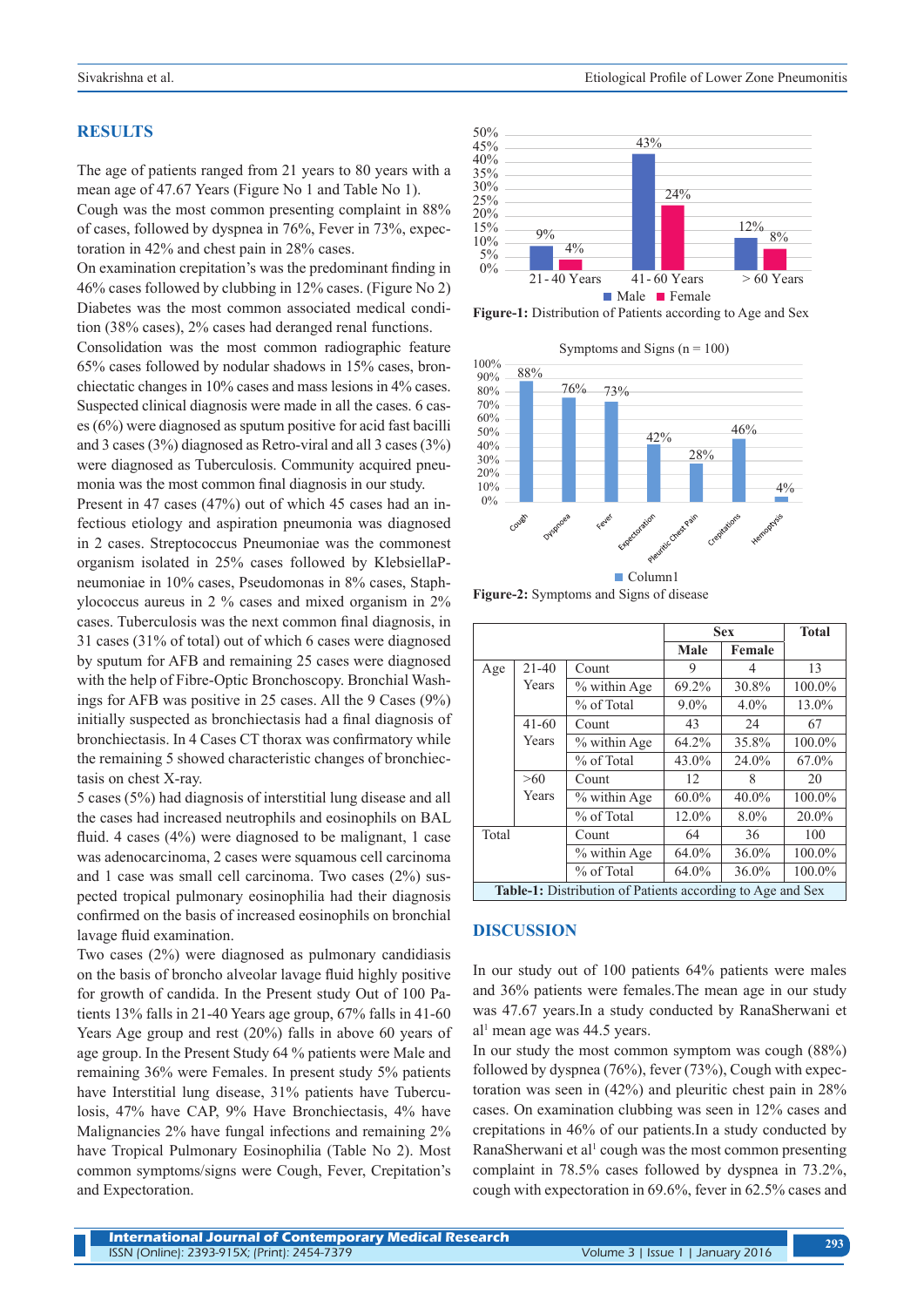#### **RESULTS**

The age of patients ranged from 21 years to 80 years with a mean age of 47.67 Years (Figure No 1 and Table No 1).

Cough was the most common presenting complaint in 88% of cases, followed by dyspnea in 76%, Fever in 73%, expectoration in 42% and chest pain in 28% cases.

On examination crepitation's was the predominant finding in 46% cases followed by clubbing in 12% cases. (Figure No 2) Diabetes was the most common associated medical condition (38% cases), 2% cases had deranged renal functions.

Consolidation was the most common radiographic feature 65% cases followed by nodular shadows in 15% cases, bronchiectatic changes in 10% cases and mass lesions in 4% cases. Suspected clinical diagnosis were made in all the cases. 6 cases (6%) were diagnosed as sputum positive for acid fast bacilli and 3 cases (3%) diagnosed as Retro-viral and all 3 cases (3%) were diagnosed as Tuberculosis. Community acquired pneumonia was the most common final diagnosis in our study.

Present in 47 cases (47%) out of which 45 cases had an infectious etiology and aspiration pneumonia was diagnosed in 2 cases. Streptococcus Pneumoniae was the commonest organism isolated in 25% cases followed by KlebsiellaPneumoniae in 10% cases, Pseudomonas in 8% cases, Staphylococcus aureus in 2 % cases and mixed organism in 2% cases. Tuberculosis was the next common final diagnosis, in 31 cases (31% of total) out of which 6 cases were diagnosed by sputum for AFB and remaining 25 cases were diagnosed with the help of Fibre-Optic Bronchoscopy. Bronchial Washings for AFB was positive in 25 cases. All the 9 Cases (9%) initially suspected as bronchiectasis had a final diagnosis of bronchiectasis. In 4 Cases CT thorax was confirmatory while the remaining 5 showed characteristic changes of bronchiectasis on chest X-ray.

5 cases (5%) had diagnosis of interstitial lung disease and all the cases had increased neutrophils and eosinophils on BAL fluid. 4 cases (4%) were diagnosed to be malignant, 1 case was adenocarcinoma, 2 cases were squamous cell carcinoma and 1 case was small cell carcinoma. Two cases (2%) suspected tropical pulmonary eosinophilia had their diagnosis confirmed on the basis of increased eosinophils on bronchial lavage fluid examination.

Two cases (2%) were diagnosed as pulmonary candidiasis on the basis of broncho alveolar lavage fluid highly positive for growth of candida. In the Present study Out of 100 Patients 13% falls in 21-40 Years age group, 67% falls in 41-60 Years Age group and rest (20%) falls in above 60 years of age group. In the Present Study 64 % patients were Male and remaining 36% were Females. In present study 5% patients have Interstitial lung disease, 31% patients have Tuberculosis, 47% have CAP, 9% Have Bronchiectasis, 4% have Malignancies 2% have fungal infections and remaining 2% have Tropical Pulmonary Eosinophilia (Table No 2). Most common symptoms/signs were Cough, Fever, Crepitation's and Expectoration.



**Figure-1:** Distribution of Patients according to Age and Sex



**Figure-2:** Symptoms and Signs of disease

|                                                                   |           |              | <b>Sex</b> |         | <b>Total</b> |  |  |  |
|-------------------------------------------------------------------|-----------|--------------|------------|---------|--------------|--|--|--|
|                                                                   |           |              | Male       | Female  |              |  |  |  |
| Age                                                               | $21 - 40$ | Count        | 9          | 4       | 13           |  |  |  |
|                                                                   | Years     | % within Age | 69.2%      | 30.8%   | 100.0%       |  |  |  |
|                                                                   |           | % of Total   | $9.0\%$    | $4.0\%$ | 13.0%        |  |  |  |
|                                                                   | $41 - 60$ | Count        | 43         | 24      | 67           |  |  |  |
|                                                                   | Years     | % within Age | 64.2%      | 35.8%   | 100.0%       |  |  |  |
|                                                                   |           | % of Total   | 43.0%      | 24.0%   | 67.0%        |  |  |  |
|                                                                   | >60       | Count        | 12         | 8       | 20           |  |  |  |
|                                                                   | Years     | % within Age | $60.0\%$   | 40.0%   | 100.0%       |  |  |  |
|                                                                   |           | % of Total   | 12.0%      | $8.0\%$ | 20.0%        |  |  |  |
| Total                                                             |           | Count        | 64         | 36      | 100          |  |  |  |
|                                                                   |           | % within Age | 64.0%      | 36.0%   | 100.0%       |  |  |  |
|                                                                   |           | % of Total   | 64.0%      | 36.0%   | 100.0%       |  |  |  |
| <b>Table-1:</b> Distribution of Patients according to Age and Sex |           |              |            |         |              |  |  |  |

#### **DISCUSSION**

In our study out of 100 patients 64% patients were males and 36% patients were females.The mean age in our study was 47.67 years.In a study conducted by RanaSherwani et al<sup>1</sup> mean age was 44.5 years.

In our study the most common symptom was cough (88%) followed by dyspnea (76%), fever (73%), Cough with expectoration was seen in (42%) and pleuritic chest pain in 28% cases. On examination clubbing was seen in 12% cases and crepitations in 46% of our patients.In a study conducted by RanaSherwani et al<sup>1</sup> cough was the most common presenting complaint in 78.5% cases followed by dyspnea in 73.2%, cough with expectoration in 69.6%, fever in 62.5% cases and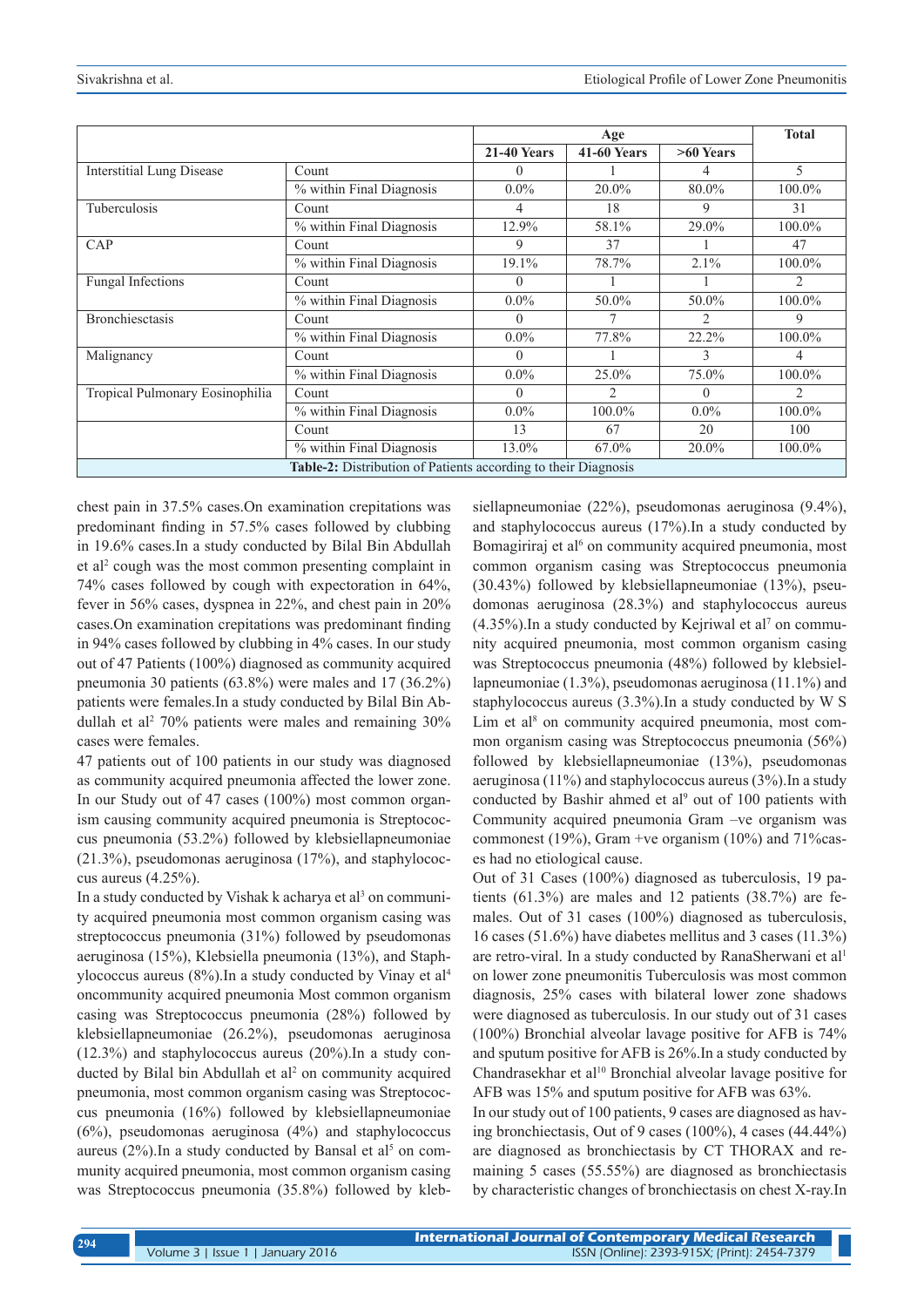|                                                                       |                                      | Age                |                    |             | <b>Total</b>   |  |  |
|-----------------------------------------------------------------------|--------------------------------------|--------------------|--------------------|-------------|----------------|--|--|
|                                                                       |                                      | <b>21-40 Years</b> | <b>41-60 Years</b> | $>60$ Years |                |  |  |
| <b>Interstitial Lung Disease</b>                                      | Count                                | $\theta$           |                    | 4           | 5              |  |  |
|                                                                       | % within Final Diagnosis             | $0.0\%$            | $20.0\%$           | 80.0%       | $100.0\%$      |  |  |
| Tuberculosis                                                          | Count                                | 4                  | 18                 | 9           | 31             |  |  |
|                                                                       | % within Final Diagnosis             | 12.9%              | 58.1%              | 29.0%       | 100.0%         |  |  |
| CAP                                                                   | Count                                | 9                  | 37                 |             | 47             |  |  |
|                                                                       | % within Final Diagnosis             | 19.1%              | 78.7%              | 2.1%        | 100.0%         |  |  |
| <b>Fungal Infections</b>                                              | Count                                | 0                  |                    |             | 2              |  |  |
|                                                                       | % within Final Diagnosis             | $0.0\%$            | 50.0%              | 50.0%       | 100.0%         |  |  |
| <b>Bronchiesctasis</b>                                                | Count                                | $\Omega$           |                    | 2           | 9              |  |  |
|                                                                       | % within Final Diagnosis             | $0.0\%$            | 77.8%              | 22.2%       | 100.0%         |  |  |
| Malignancy                                                            | Count                                | 0                  |                    | 3           | 4              |  |  |
|                                                                       | $\sqrt[6]{ }$ within Final Diagnosis | $0.0\%$            | 25.0%              | 75.0%       | 100.0%         |  |  |
| Tropical Pulmonary Eosinophilia                                       | Count                                | $\Omega$           | $\mathcal{D}$      | $\Omega$    | $\mathfrak{D}$ |  |  |
|                                                                       | % within Final Diagnosis             | $0.0\%$            | 100.0%             | $0.0\%$     | $100.0\%$      |  |  |
|                                                                       | Count                                | 13                 | 67                 | 20          | 100            |  |  |
|                                                                       | % within Final Diagnosis             | 13.0%              | 67.0%              | $20.0\%$    | $100.0\%$      |  |  |
| <b>Table-2:</b> Distribution of Patients according to their Diagnosis |                                      |                    |                    |             |                |  |  |

chest pain in 37.5% cases.On examination crepitations was predominant finding in 57.5% cases followed by clubbing in 19.6% cases.In a study conducted by Bilal Bin Abdullah et al<sup>2</sup> cough was the most common presenting complaint in 74% cases followed by cough with expectoration in 64%, fever in 56% cases, dyspnea in 22%, and chest pain in 20% cases.On examination crepitations was predominant finding in 94% cases followed by clubbing in 4% cases. In our study out of 47 Patients (100%) diagnosed as community acquired pneumonia 30 patients (63.8%) were males and 17 (36.2%) patients were females.In a study conducted by Bilal Bin Abdullah et al<sup>2</sup> 70% patients were males and remaining  $30\%$ cases were females.

47 patients out of 100 patients in our study was diagnosed as community acquired pneumonia affected the lower zone. In our Study out of 47 cases (100%) most common organism causing community acquired pneumonia is Streptococcus pneumonia (53.2%) followed by klebsiellapneumoniae  $(21.3\%)$ , pseudomonas aeruginosa  $(17\%)$ , and staphylococcus aureus (4.25%).

In a study conducted by Vishak k acharya et al<sup>3</sup> on community acquired pneumonia most common organism casing was streptococcus pneumonia (31%) followed by pseudomonas aeruginosa (15%), Klebsiella pneumonia (13%), and Staphylococcus aureus (8%).In a study conducted by Vinay et al4 oncommunity acquired pneumonia Most common organism casing was Streptococcus pneumonia (28%) followed by klebsiellapneumoniae (26.2%), pseudomonas aeruginosa (12.3%) and staphylococcus aureus (20%).In a study conducted by Bilal bin Abdullah et al<sup>2</sup> on community acquired pneumonia, most common organism casing was Streptococcus pneumonia (16%) followed by klebsiellapneumoniae  $(6%)$ , pseudomonas aeruginosa  $(4%)$  and staphylococcus aureus  $(2%)$ . In a study conducted by Bansal et al<sup>5</sup> on community acquired pneumonia, most common organism casing was Streptococcus pneumonia (35.8%) followed by klebsiellapneumoniae (22%), pseudomonas aeruginosa (9.4%), and staphylococcus aureus (17%).In a study conducted by Bomagiriraj et al<sup>6</sup> on community acquired pneumonia, most common organism casing was Streptococcus pneumonia (30.43%) followed by klebsiellapneumoniae (13%), pseudomonas aeruginosa (28.3%) and staphylococcus aureus  $(4.35\%)$ . In a study conducted by Kejriwal et al<sup>7</sup> on community acquired pneumonia, most common organism casing was Streptococcus pneumonia (48%) followed by klebsiellapneumoniae (1.3%), pseudomonas aeruginosa (11.1%) and staphylococcus aureus (3.3%).In a study conducted by W S Lim et al<sup>8</sup> on community acquired pneumonia, most common organism casing was Streptococcus pneumonia (56%) followed by klebsiellapneumoniae (13%), pseudomonas aeruginosa (11%) and staphylococcus aureus (3%).In a study conducted by Bashir ahmed et al<sup>9</sup> out of 100 patients with Community acquired pneumonia Gram –ve organism was commonest (19%), Gram +ve organism (10%) and 71%cases had no etiological cause.

Out of 31 Cases (100%) diagnosed as tuberculosis, 19 patients (61.3%) are males and 12 patients (38.7%) are females. Out of 31 cases (100%) diagnosed as tuberculosis, 16 cases (51.6%) have diabetes mellitus and 3 cases (11.3%) are retro-viral. In a study conducted by RanaSherwani et al<sup>1</sup> on lower zone pneumonitis Tuberculosis was most common diagnosis, 25% cases with bilateral lower zone shadows were diagnosed as tuberculosis. In our study out of 31 cases (100%) Bronchial alveolar lavage positive for AFB is 74% and sputum positive for AFB is 26%.In a study conducted by Chandrasekhar et al<sup>10</sup> Bronchial alveolar lavage positive for AFB was 15% and sputum positive for AFB was 63%.

In our study out of 100 patients, 9 cases are diagnosed as having bronchiectasis, Out of 9 cases (100%), 4 cases (44.44%) are diagnosed as bronchiectasis by CT THORAX and remaining 5 cases (55.55%) are diagnosed as bronchiectasis by characteristic changes of bronchiectasis on chest X-ray.In